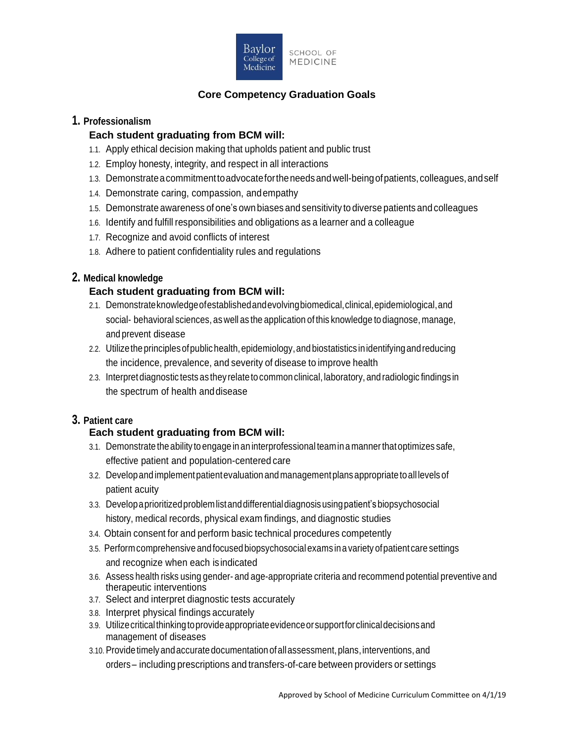

# **Core Competency Graduation Goals**

### **1. Professionalism**

#### **Each student graduating from BCM will:**

- 1.1. Apply ethical decision making that upholds patient and public trust
- 1.2. Employ honesty, integrity, and respect in all interactions
- 1.3. Demonstrateacommitmenttoadvocatefortheneedsandwell-beingofpatients,colleagues,andself
- 1.4. Demonstrate caring, compassion, andempathy
- 1.5. Demonstrate awareness of one's own biases and sensitivity to diverse patients and colleagues
- 1.6. Identify and fulfill responsibilities and obligations as a learner and a colleague
- 1.7. Recognize and avoid conflicts of interest
- 1.8. Adhere to patient confidentiality rules and regulations

# **2. Medical knowledge**

# **Each student graduating from BCM will:**

- 2.1. Demonstrateknowledgeofestablishedandevolvingbiomedical,clinical,epidemiological,and social- behavioral sciences, as well as the application of this knowledge to diagnose, manage, and prevent disease
- 2.2. Utilize the principles of public health, epidemiology, and biostatistics in identifying and reducing the incidence, prevalence, and severity of disease to improve health
- 2.3. Interpretdiagnostic tests as they relate tocommon clinical, laboratory, and radiologic findings in the spectrum of health anddisease

# **3. Patient care**

# **Each student graduating from BCM will:**

- 3.1. Demonstrate the ability toengage inan interprofessional teamina mannerthatoptimizes safe, effective patient and population-centered care
- 3.2. Developand implementpatientevaluation and managementplansappropriate toall levelsof patient acuity
- 3.3. Developaprioritizedproblemlistanddifferentialdiagnosisusingpatient'sbiopsychosocial history, medical records, physical exam findings, and diagnostic studies
- 3.4. Obtain consent for and perform basic technical procedures competently
- 3.5. Performcomprehensive and focused biopsychosocial exams inavariety ofpatient care settings and recognize when each isindicated
- 3.6. Assess health risks using gender- and age-appropriate criteria and recommend potential preventive and therapeutic interventions
- 3.7. Select and interpret diagnostic tests accurately
- 3.8. Interpret physical findings accurately
- 3.9. Utilizecriticalthinkingtoprovideappropriateevidenceorsupportforclinicaldecisionsand management of diseases
- 3.10. Provide timely andaccurate documentation ofallassessment,plans,interventions,and orders – including prescriptions and transfers-of-care between providers or settings